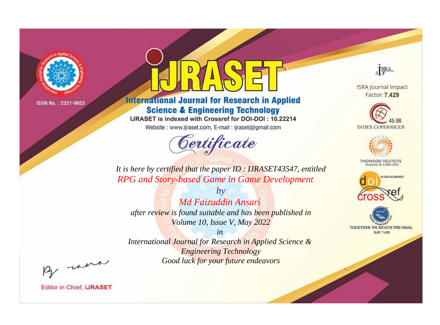

# **International Journal for Research in Applied Science & Engineering Technology**

IJRASET is indexed with Crossref for DOI-DOI: 10.22214

Website: www.ijraset.com, E-mail: ijraset@gmail.com



JERA

**ISRA Journal Impact** Factor: 7.429





**THOMSON REUTERS** 



TOGETHER WE REACH THE GOAL **SJIF 7.429** 

*It is here by certified that the paper ID : IJRASET43547, entitled RPG and Story-based Game in Game Development*

*Md Faizuddin Ansari after review is found suitable and has been published in Volume 10, Issue V, May 2022*

*by*

*in* 

*International Journal for Research in Applied Science & Engineering Technology Good luck for your future endeavors*

By morn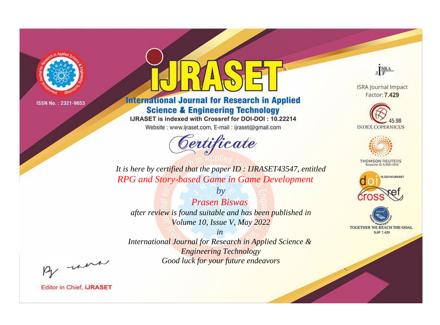

# **International Journal for Research in Applied Science & Engineering Technology**

IJRASET is indexed with Crossref for DOI-DOI: 10.22214

Website: www.ijraset.com, E-mail: ijraset@gmail.com



JERA

**ISRA Journal Impact** Factor: 7.429





**THOMSON REUTERS** 



TOGETHER WE REACH THE GOAL **SJIF 7.429** 

*It is here by certified that the paper ID : IJRASET43547, entitled RPG and Story-based Game in Game Development*

*Prasen Biswas after review is found suitable and has been published in Volume 10, Issue V, May 2022*

*by*

*in* 

*International Journal for Research in Applied Science & Engineering Technology Good luck for your future endeavors*

By morn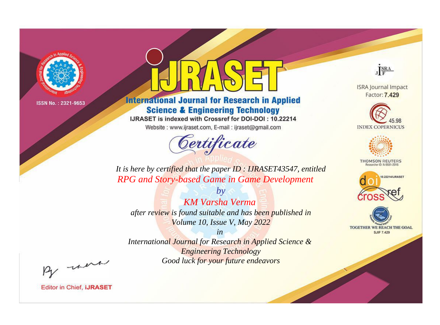

# **International Journal for Research in Applied Science & Engineering Technology**

IJRASET is indexed with Crossref for DOI-DOI: 10.22214

Website: www.ijraset.com, E-mail: ijraset@gmail.com



JERA

**ISRA Journal Impact** Factor: 7.429





**THOMSON REUTERS** 



TOGETHER WE REACH THE GOAL **SJIF 7.429** 

*It is here by certified that the paper ID : IJRASET43547, entitled RPG and Story-based Game in Game Development*

*KM Varsha Verma after review is found suitable and has been published in Volume 10, Issue V, May 2022*

*by*

*in* 

*International Journal for Research in Applied Science & Engineering Technology Good luck for your future endeavors*

By morn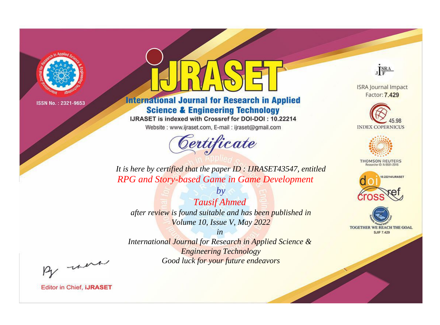

# **International Journal for Research in Applied Science & Engineering Technology**

IJRASET is indexed with Crossref for DOI-DOI: 10.22214

Website: www.ijraset.com, E-mail: ijraset@gmail.com



JERA

**ISRA Journal Impact** Factor: 7.429





**THOMSON REUTERS** 



TOGETHER WE REACH THE GOAL **SJIF 7.429** 

*It is here by certified that the paper ID : IJRASET43547, entitled RPG and Story-based Game in Game Development*

*by Tausif Ahmed after review is found suitable and has been published in Volume 10, Issue V, May 2022*

*in* 

*International Journal for Research in Applied Science & Engineering Technology Good luck for your future endeavors*

By morn